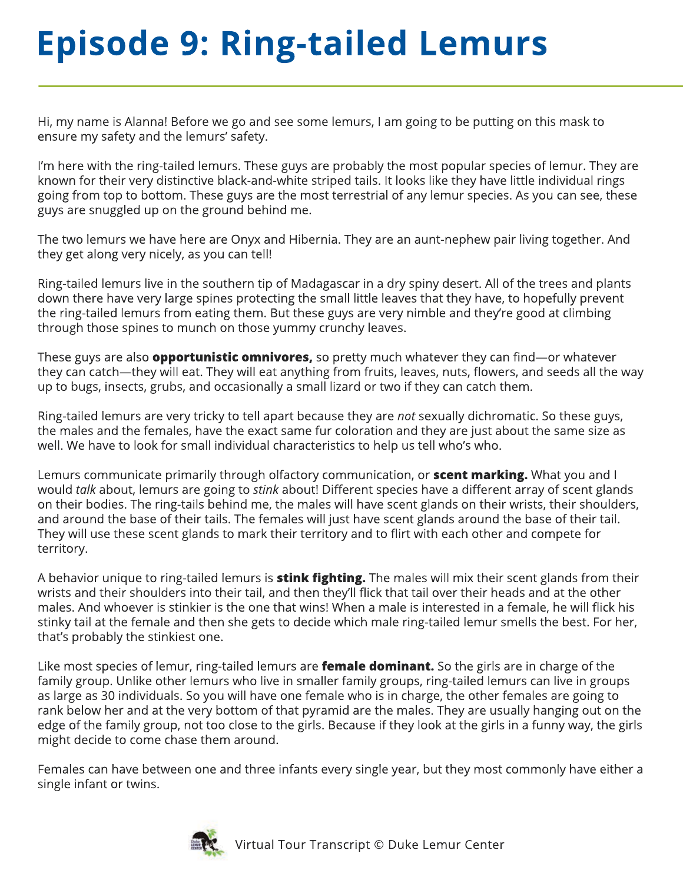## **Episode 9: Ring-tailed Lemurs**

Hi, my name is Alanna! Before we go and see some lemurs, I am going to be putting on this mask to ensure my safety and the lemurs' safety.

I'm here with the ring-tailed lemurs. These guys are probably the most popular species of lemur. They are known for their very distinctive black-and-white striped tails. It looks like they have little individual rings going from top to bottom. These guys are the most terrestrial of any lemur species. As you can see, these guys are snuggled up on the ground behind me.

The two lemurs we have here are Onyx and Hibernia. They are an aunt-nephew pair living together. And they get along very nicely, as you can tell!

Ring-tailed lemurs live in the southern tip of Madagascar in a dry spiny desert. All of the trees and plants down there have very large spines protecting the small little leaves that they have, to hopefully prevent the ring-tailed lemurs from eating them. But these guys are very nimble and they're good at climbing through those spines to munch on those yummy crunchy leaves.

These guys are also **opportunistic omnivores,** so pretty much whatever they can find—or whatever they can catch—they will eat. They will eat anything from fruits, leaves, nuts, flowers, and seeds all the way up to bugs, insects, grubs, and occasionally a small lizard or two if they can catch them.

Ring-tailed lemurs are very tricky to tell apart because they are *not* sexually dichromatic. So these guys, the males and the females, have the exact same fur coloration and they are just about the same size as well. We have to look for small individual characteristics to help us tell who's who.

Lemurs communicate primarily through olfactory communication, or **scent marking.** What you and I would *talk* about, lemurs are going to *stink* about! Different species have a different array of scent glands on their bodies. The ring-tails behind me, the males will have scent glands on their wrists, their shoulders, and around the base of their tails. The females will just have scent glands around the base of their tail. They will use these scent glands to mark their territory and to flirt with each other and compete for territory.

A behavior unique to ring-tailed lemurs is **stink fighting.** The males will mix their scent glands from their wrists and their shoulders into their tail, and then they'll flick that tail over their heads and at the other males. And whoever is stinkier is the one that wins! When a male is interested in a female, he will flick his stinky tail at the female and then she gets to decide which male ring-tailed lemur smells the best. For her, that's probably the stinkiest one.

Like most species of lemur, ring-tailed lemurs are **female dominant.** So the girls are in charge of the family group. Unlike other lemurs who live in smaller family groups, ring-tailed lemurs can live in groups as large as 30 individuals. So you will have one female who is in charge, the other females are going to rank below her and at the very bottom of that pyramid are the males. They are usually hanging out on the edge of the family group, not too close to the girls. Because if they look at the girls in a funny way, the girls might decide to come chase them around.

Females can have between one and three infants every single year, but they most commonly have either a single infant or twins.